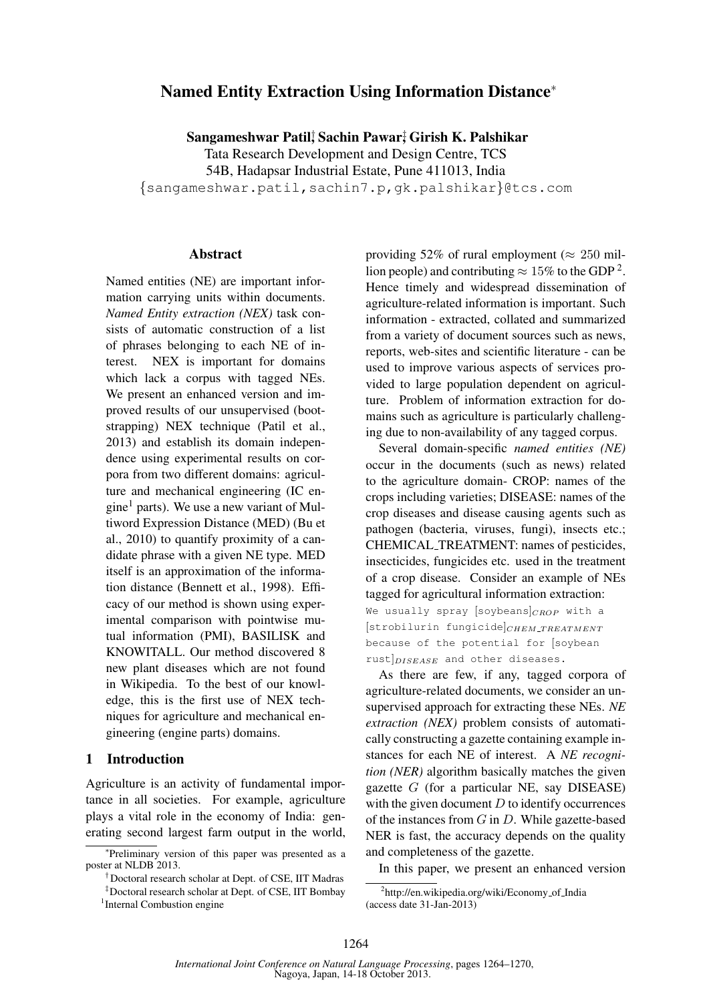# Named Entity Extraction Using Information Distance<sup>∗</sup>

Sangameshwar Patil† , Sachin Pawar‡ , Girish K. Palshikar

Tata Research Development and Design Centre, TCS 54B, Hadapsar Industrial Estate, Pune 411013, India {sangameshwar.patil,sachin7.p,gk.palshikar}@tcs.com

### Abstract

Named entities (NE) are important information carrying units within documents. *Named Entity extraction (NEX)* task consists of automatic construction of a list of phrases belonging to each NE of interest. NEX is important for domains which lack a corpus with tagged NEs. We present an enhanced version and improved results of our unsupervised (bootstrapping) NEX technique (Patil et al., 2013) and establish its domain independence using experimental results on corpora from two different domains: agriculture and mechanical engineering (IC engine<sup>1</sup> parts). We use a new variant of Multiword Expression Distance (MED) (Bu et al., 2010) to quantify proximity of a candidate phrase with a given NE type. MED itself is an approximation of the information distance (Bennett et al., 1998). Efficacy of our method is shown using experimental comparison with pointwise mutual information (PMI), BASILISK and KNOWITALL. Our method discovered 8 new plant diseases which are not found in Wikipedia. To the best of our knowledge, this is the first use of NEX techniques for agriculture and mechanical engineering (engine parts) domains.

#### 1 Introduction

Agriculture is an activity of fundamental importance in all societies. For example, agriculture plays a vital role in the economy of India: generating second largest farm output in the world, providing 52% of rural employment ( $\approx 250$  million people) and contributing  $\approx 15\%$  to the GDP<sup>2</sup>. Hence timely and widespread dissemination of agriculture-related information is important. Such information - extracted, collated and summarized from a variety of document sources such as news, reports, web-sites and scientific literature - can be used to improve various aspects of services provided to large population dependent on agriculture. Problem of information extraction for domains such as agriculture is particularly challenging due to non-availability of any tagged corpus.

Several domain-specific *named entities (NE)* occur in the documents (such as news) related to the agriculture domain- CROP: names of the crops including varieties; DISEASE: names of the crop diseases and disease causing agents such as pathogen (bacteria, viruses, fungi), insects etc.; CHEMICAL TREATMENT: names of pesticides, insecticides, fungicides etc. used in the treatment of a crop disease. Consider an example of NEs tagged for agricultural information extraction: We usually spray [soybeans] $_{CROP}$  with a  $[strobilurin fungicide]_{CHEM\_TREATMENT}$ because of the potential for [soybean  $rust|<sub>DISEASE</sub>$  and other diseases.

As there are few, if any, tagged corpora of agriculture-related documents, we consider an unsupervised approach for extracting these NEs. *NE extraction (NEX)* problem consists of automatically constructing a gazette containing example instances for each NE of interest. A *NE recognition (NER)* algorithm basically matches the given gazette  $G$  (for a particular NE, say DISEASE) with the given document  $D$  to identify occurrences of the instances from  $G$  in  $D$ . While gazette-based NER is fast, the accuracy depends on the quality and completeness of the gazette.

In this paper, we present an enhanced version

<sup>∗</sup> Preliminary version of this paper was presented as a poster at NLDB 2013.

<sup>†</sup>Doctoral research scholar at Dept. of CSE, IIT Madras

<sup>‡</sup>Doctoral research scholar at Dept. of CSE, IIT Bombay <sup>1</sup>Internal Combustion engine

<sup>&</sup>lt;sup>2</sup>http://en.wikipedia.org/wiki/Economy\_of\_India (access date 31-Jan-2013)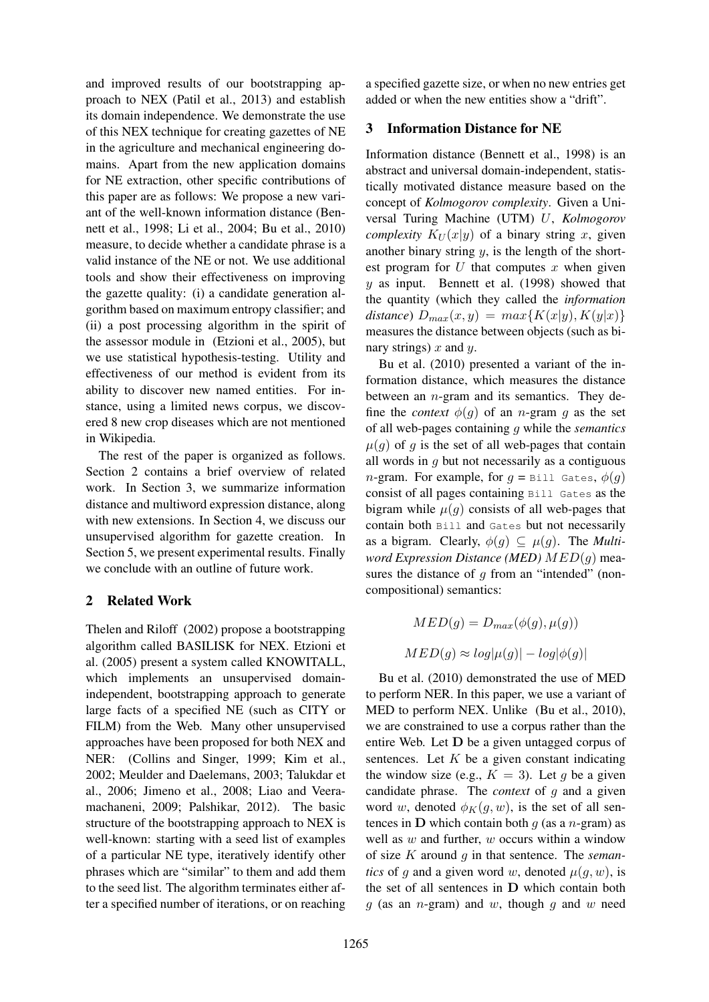and improved results of our bootstrapping approach to NEX (Patil et al., 2013) and establish its domain independence. We demonstrate the use of this NEX technique for creating gazettes of NE in the agriculture and mechanical engineering domains. Apart from the new application domains for NE extraction, other specific contributions of this paper are as follows: We propose a new variant of the well-known information distance (Bennett et al., 1998; Li et al., 2004; Bu et al., 2010) measure, to decide whether a candidate phrase is a valid instance of the NE or not. We use additional tools and show their effectiveness on improving the gazette quality: (i) a candidate generation algorithm based on maximum entropy classifier; and (ii) a post processing algorithm in the spirit of the assessor module in (Etzioni et al., 2005), but we use statistical hypothesis-testing. Utility and effectiveness of our method is evident from its ability to discover new named entities. For instance, using a limited news corpus, we discovered 8 new crop diseases which are not mentioned in Wikipedia.

The rest of the paper is organized as follows. Section 2 contains a brief overview of related work. In Section 3, we summarize information distance and multiword expression distance, along with new extensions. In Section 4, we discuss our unsupervised algorithm for gazette creation. In Section 5, we present experimental results. Finally we conclude with an outline of future work.

# 2 Related Work

Thelen and Riloff (2002) propose a bootstrapping algorithm called BASILISK for NEX. Etzioni et al. (2005) present a system called KNOWITALL, which implements an unsupervised domainindependent, bootstrapping approach to generate large facts of a specified NE (such as CITY or FILM) from the Web. Many other unsupervised approaches have been proposed for both NEX and NER: (Collins and Singer, 1999; Kim et al., 2002; Meulder and Daelemans, 2003; Talukdar et al., 2006; Jimeno et al., 2008; Liao and Veeramachaneni, 2009; Palshikar, 2012). The basic structure of the bootstrapping approach to NEX is well-known: starting with a seed list of examples of a particular NE type, iteratively identify other phrases which are "similar" to them and add them to the seed list. The algorithm terminates either after a specified number of iterations, or on reaching

a specified gazette size, or when no new entries get added or when the new entities show a "drift".

# 3 Information Distance for NE

Information distance (Bennett et al., 1998) is an abstract and universal domain-independent, statistically motivated distance measure based on the concept of *Kolmogorov complexity*. Given a Universal Turing Machine (UTM) U, *Kolmogorov complexity*  $K_U(x|y)$  of a binary string x, given another binary string  $y$ , is the length of the shortest program for  $U$  that computes  $x$  when given  $y$  as input. Bennett et al. (1998) showed that the quantity (which they called the *information*  $distance)$   $D_{max}(x, y) = max{K(x|y), K(y|x)}$ measures the distance between objects (such as binary strings)  $x$  and  $y$ .

Bu et al. (2010) presented a variant of the information distance, which measures the distance between an  $n$ -gram and its semantics. They define the *context*  $\phi(q)$  of an *n*-gram *q* as the set of all web-pages containing g while the *semantics*  $\mu(g)$  of g is the set of all web-pages that contain all words in  $g$  but not necessarily as a contiguous *n*-gram. For example, for  $q = \text{Bill Gates}, \phi(q)$ consist of all pages containing Bill Gates as the bigram while  $\mu(g)$  consists of all web-pages that contain both Bill and Gates but not necessarily as a bigram. Clearly,  $\phi(g) \subseteq \mu(g)$ . The *Multiword Expression Distance (MED)* MED(g) measures the distance of  $g$  from an "intended" (noncompositional) semantics:

$$
MED(g) = D_{max}(\phi(g), \mu(g))
$$
  

$$
MED(g) \approx log|\mu(g)| - log|\phi(g)|
$$

Bu et al. (2010) demonstrated the use of MED to perform NER. In this paper, we use a variant of MED to perform NEX. Unlike (Bu et al., 2010), we are constrained to use a corpus rather than the entire Web. Let D be a given untagged corpus of sentences. Let  $K$  be a given constant indicating the window size (e.g.,  $K = 3$ ). Let q be a given candidate phrase. The *context* of g and a given word w, denoted  $\phi_K(q, w)$ , is the set of all sentences in  $D$  which contain both  $g$  (as a n-gram) as well as  $w$  and further,  $w$  occurs within a window of size K around g in that sentence. The *semantics* of g and a given word w, denoted  $\mu(g, w)$ , is the set of all sentences in D which contain both  $g$  (as an *n*-gram) and  $w$ , though  $g$  and  $w$  need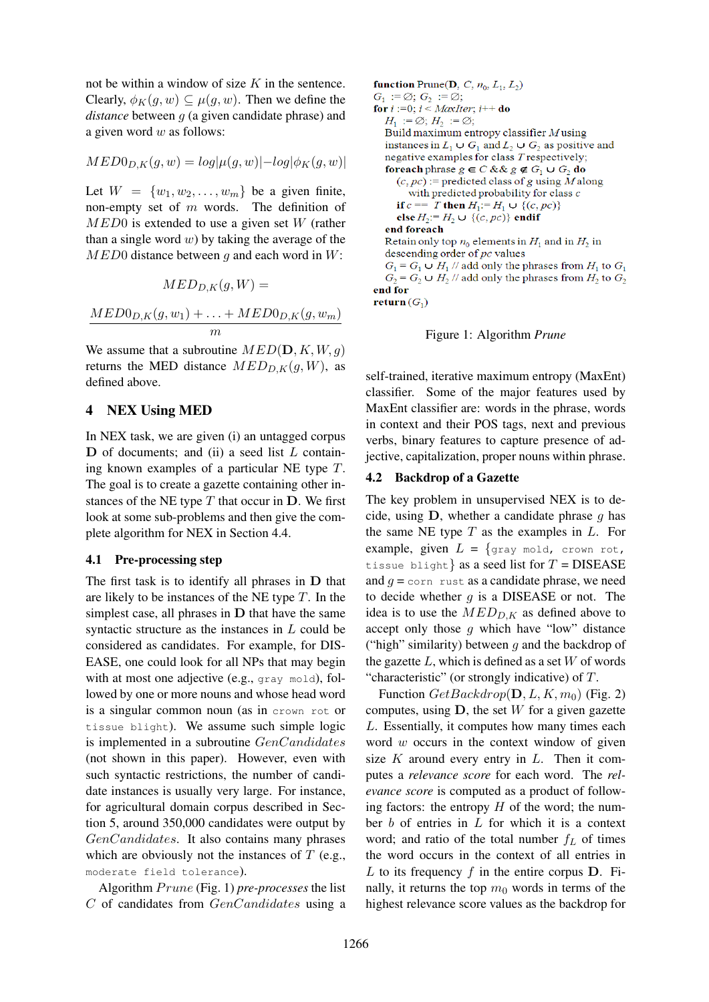not be within a window of size  $K$  in the sentence. Clearly,  $\phi_K(q, w) \subset \mu(q, w)$ . Then we define the *distance* between g (a given candidate phrase) and a given word  $w$  as follows:

$$
MED0_{D,K}(g,w)=log|\mu(g,w)|-log|\phi_K(g,w)|
$$

Let  $W = \{w_1, w_2, \ldots, w_m\}$  be a given finite, non-empty set of m words. The definition of  $MED0$  is extended to use a given set W (rather than a single word  $w$ ) by taking the average of the  $MED0$  distance between q and each word in W:

$$
MED_{D,K}(g,W) =
$$

$$
\frac{MED0_{D,K}(g, w_1) + \ldots + MED0_{D,K}(g, w_m)}{m}
$$

We assume that a subroutine  $MED(D, K, W, q)$ returns the MED distance  $MED_{D,K}(g, W)$ , as defined above.

### 4 NEX Using MED

In NEX task, we are given (i) an untagged corpus  **of documents; and (ii) a seed list**  $L$  **contain**ing known examples of a particular NE type T. The goal is to create a gazette containing other instances of the NE type  $T$  that occur in  $D$ . We first look at some sub-problems and then give the complete algorithm for NEX in Section 4.4.

#### 4.1 Pre-processing step

The first task is to identify all phrases in D that are likely to be instances of the NE type  $T$ . In the simplest case, all phrases in  $D$  that have the same syntactic structure as the instances in L could be considered as candidates. For example, for DIS-EASE, one could look for all NPs that may begin with at most one adjective (e.g., gray mold), followed by one or more nouns and whose head word is a singular common noun (as in crown rot or tissue blight). We assume such simple logic is implemented in a subroutine GenCandidates (not shown in this paper). However, even with such syntactic restrictions, the number of candidate instances is usually very large. For instance, for agricultural domain corpus described in Section 5, around 350,000 candidates were output by GenCandidates. It also contains many phrases which are obviously not the instances of  $T$  (e.g., moderate field tolerance).

Algorithm  $Prune$  (Fig. 1) *pre-processes* the list C of candidates from GenCandidates using a **function** Prune(**D**, *C*,  $n_0$ ,  $L_1$ ,  $L_2$ )  $G_1 := \emptyset$ ;  $G_2 := \emptyset$ ; for  $i := 0$ ;  $i < \text{MaxIter}$ ;  $i++$  do  $H_1 := \emptyset$ ;  $H_2 := \emptyset$ ; Build maximum entropy classifier  $M$  using instances in  $L_1 \cup G_1$  and  $L_2 \cup G_2$  as positive and negative examples for class T respectively; **foreach** phrase  $g \in C$  & &  $g \notin G_1 \cup G_2$  **do**  $(c, pc)$ := predicted class of g using M along with predicted probability for class  $c$ if  $c == T$  then  $H_1 := H_1 \cup \{(c, pc)\}$ else  $H_2 := H_2 \cup \{(c, pc)\}\$ endif end foreach Retain only top  $n_0$  elements in  $H_1$  and in  $H_2$  in descending order of  $pc$  values  $G_1 = G_1 \cup H_1$  // add only the phrases from  $H_1$  to  $G_1$  $G_2 = G_2 \cup H_2$  // add only the phrases from  $H_2$  to  $G_2$ end for return  $(G_1)$ 

#### Figure 1: Algorithm *Prune*

self-trained, iterative maximum entropy (MaxEnt) classifier. Some of the major features used by MaxEnt classifier are: words in the phrase, words in context and their POS tags, next and previous verbs, binary features to capture presence of adjective, capitalization, proper nouns within phrase.

### 4.2 Backdrop of a Gazette

The key problem in unsupervised NEX is to decide, using  $D$ , whether a candidate phrase  $q$  has the same NE type  $T$  as the examples in  $L$ . For example, given  $L = \{gray \text{array} \text{ mod, } \text{ crown not, }$ tissue blight as a seed list for  $T = \text{DISEASE}$ and  $q = \text{corr}$  rust as a candidate phrase, we need to decide whether  $q$  is a DISEASE or not. The idea is to use the  $MED_{D,K}$  as defined above to accept only those  $g$  which have "low" distance ("high" similarity) between  $g$  and the backdrop of the gazette  $L$ , which is defined as a set  $W$  of words "characteristic" (or strongly indicative) of  $T$ .

Function  $GetBackdrop(D, L, K, m_0)$  (Fig. 2) computes, using  $D$ , the set W for a given gazette L. Essentially, it computes how many times each word  $w$  occurs in the context window of given size  $K$  around every entry in  $L$ . Then it computes a *relevance score* for each word. The *relevance score* is computed as a product of following factors: the entropy  $H$  of the word; the number  $b$  of entries in  $L$  for which it is a context word; and ratio of the total number  $f_L$  of times the word occurs in the context of all entries in L to its frequency  $f$  in the entire corpus  $D$ . Finally, it returns the top  $m_0$  words in terms of the highest relevance score values as the backdrop for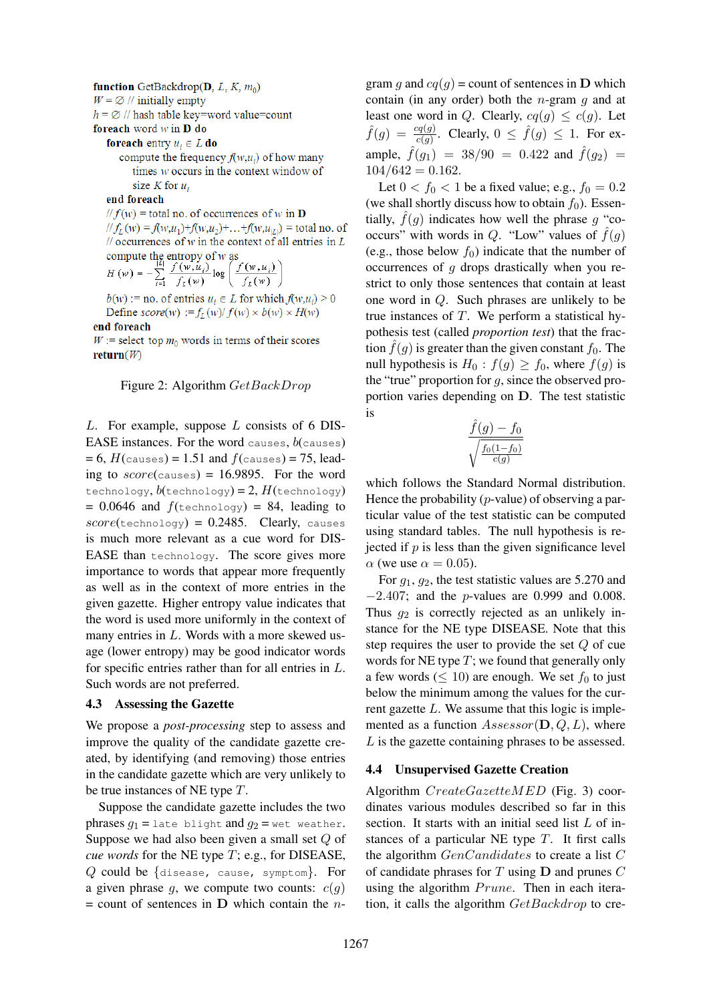#### function GetBackdrop(D, L, K,  $m_0$ )

 $W = \emptyset$  // initially empty

 $h = \emptyset$  // hash table key=word value=count foreach word  $w$  in  $D$  do

**foreach** entry  $u_i \in L$  **do** 

compute the frequency  $f(w, u_i)$  of how many times w occurs in the context window of size K for  $u_i$ 

end foreach

 $\|f(w) = \text{total no. of occurrences of } w \text{ in } D$  $|| f_L(w) = f(w, u_1) + f(w, u_2) + ... + f(w, u_{|L|})$  = total no. of  $\frac{1}{2}$  occurrences of w in the context of all entries in L

compute the entropy of w as  
\n
$$
H(w) = -\sum_{i=1}^{|L|} \frac{f(w, u_i)}{f_L(w)} \log \left( \frac{f(w, u_i)}{f_L(w)} \right)
$$

 $b(w)$ : = no. of entries  $u_i \in L$  for which  $f(w, u_i) > 0$ Define  $score(w) := f_L(w)/f(w) \times b(w) \times H(w)$ 

end foreach

 $W$  := select top  $m_0$  words in terms of their scores return $(W)$ 

#### Figure 2: Algorithm  $GetBackDrop$

L. For example, suppose L consists of 6 DIS-EASE instances. For the word causes,  $b$ (causes)  $= 6$ ,  $H$ (causes) = 1.51 and  $f$ (causes) = 75, leading to  $score$ (causes) = 16.9895. For the word technology,  $b$ (technology) = 2,  $H$ (technology)  $= 0.0646$  and  $f(\text{technology}) = 84$ , leading to  $score(\text{technology}) = 0.2485$ . Clearly, causes is much more relevant as a cue word for DIS-EASE than technology. The score gives more importance to words that appear more frequently as well as in the context of more entries in the given gazette. Higher entropy value indicates that the word is used more uniformly in the context of many entries in L. Words with a more skewed usage (lower entropy) may be good indicator words for specific entries rather than for all entries in L. Such words are not preferred.

#### 4.3 Assessing the Gazette

We propose a *post-processing* step to assess and improve the quality of the candidate gazette created, by identifying (and removing) those entries in the candidate gazette which are very unlikely to be true instances of NE type T.

Suppose the candidate gazette includes the two phrases  $g_1$  = late blight and  $g_2$  = wet weather. Suppose we had also been given a small set Q of *cue words* for the NE type T; e.g., for DISEASE, Q could be {disease, cause, symptom}. For a given phrase  $g$ , we compute two counts:  $c(g)$  $=$  count of sentences in  $\bf{D}$  which contain the *n*- gram q and  $cq(q)$  = count of sentences in **D** which contain (in any order) both the *n*-gram  $q$  and at least one word in Q. Clearly,  $cq(g) \leq c(g)$ . Let  $\hat{f}(g) = \frac{cq(g)}{c(g)}$ . Clearly,  $0 \leq \hat{f}(g) \leq 1$ . For example,  $\hat{f}(g_1) = 38/90 = 0.422$  and  $\hat{f}(g_2) =$  $104/642 = 0.162$ .

Let  $0 < f_0 < 1$  be a fixed value; e.g.,  $f_0 = 0.2$ (we shall shortly discuss how to obtain  $f_0$ ). Essentially,  $\hat{f}(q)$  indicates how well the phrase q "cooccurs" with words in Q. "Low" values of  $\hat{f}(g)$ (e.g., those below  $f_0$ ) indicate that the number of occurrences of g drops drastically when you restrict to only those sentences that contain at least one word in Q. Such phrases are unlikely to be true instances of  $T$ . We perform a statistical hypothesis test (called *proportion test*) that the fraction  $\hat{f}(q)$  is greater than the given constant  $f_0$ . The null hypothesis is  $H_0: f(g) \ge f_0$ , where  $f(g)$  is the "true" proportion for  $g$ , since the observed proportion varies depending on D. The test statistic is

$$
\frac{\hat{f}(g) - f_0}{\sqrt{\frac{f_0(1-f_0)}{c(g)}}}
$$

which follows the Standard Normal distribution. Hence the probability  $(p$ -value) of observing a particular value of the test statistic can be computed using standard tables. The null hypothesis is rejected if  $p$  is less than the given significance level  $\alpha$  (we use  $\alpha = 0.05$ ).

For  $q_1$ ,  $q_2$ , the test statistic values are 5.270 and −2.407; and the p-values are 0.999 and 0.008. Thus  $g_2$  is correctly rejected as an unlikely instance for the NE type DISEASE. Note that this step requires the user to provide the set Q of cue words for NE type  $T$ ; we found that generally only a few words ( $\leq 10$ ) are enough. We set  $f_0$  to just below the minimum among the values for the current gazette  $L$ . We assume that this logic is implemented as a function  $Assessor(\mathbf{D}, Q, L)$ , where L is the gazette containing phrases to be assessed.

## 4.4 Unsupervised Gazette Creation

Algorithm  $CreateGazette MED$  (Fig. 3) coordinates various modules described so far in this section. It starts with an initial seed list L of instances of a particular NE type  $T$ . It first calls the algorithm  $GenC and *idades*$  to create a list  $C$ of candidate phrases for  $T$  using  $D$  and prunes  $C$ using the algorithm  $Prune$ . Then in each iteration, it calls the algorithm  $GetBackdrop$  to cre-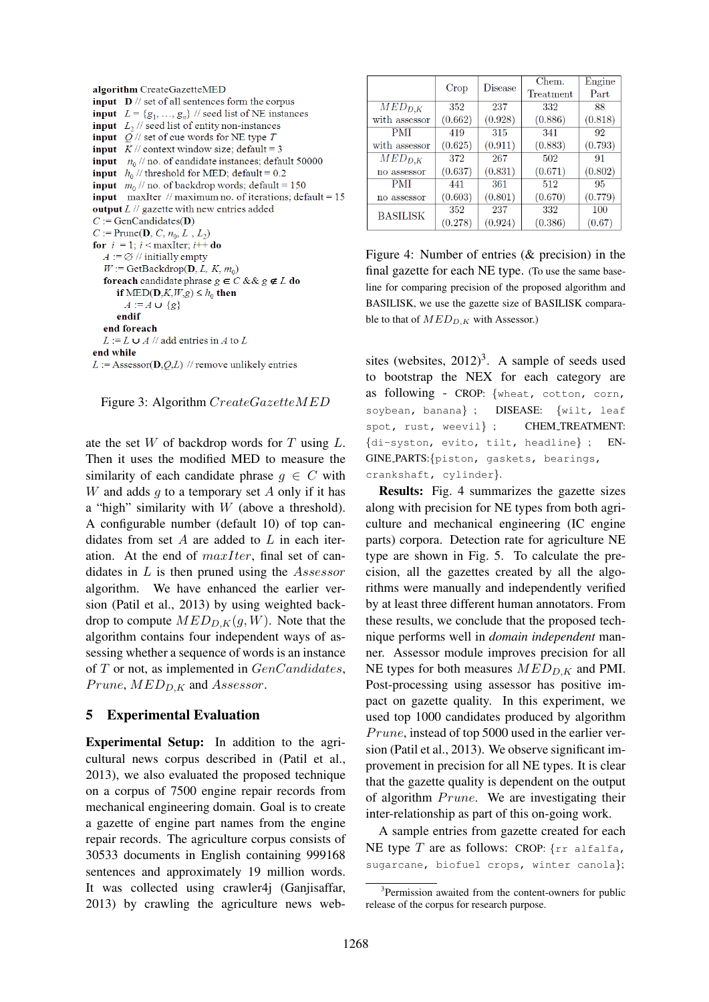|           | algorithm CreateGazetteMED                                                   |  |  |  |  |
|-----------|------------------------------------------------------------------------------|--|--|--|--|
|           | <b>input</b> $\mathbf{D}$ // set of all sentences form the corpus            |  |  |  |  |
|           | <b>input</b> $L = \{g_1, , g_n\}$ // seed list of NE instances               |  |  |  |  |
|           | <b>input</b> $L_2$ // seed list of entity non-instances                      |  |  |  |  |
|           | <b>input</b> $Q$ // set of cue words for NE type T                           |  |  |  |  |
|           | <b>input</b> $K$ // context window size; default = 3                         |  |  |  |  |
|           | <b>input</b> $n_0$ // no. of candidate instances; default 50000              |  |  |  |  |
|           | <b>input</b> $h_0$ // threshold for MED; default = 0.2                       |  |  |  |  |
|           | <b>input</b> $m_0$ // no. of backdrop words; default = 150                   |  |  |  |  |
|           | <b>input</b> maxIter // maximum no. of iterations; $\text{default} = 15$     |  |  |  |  |
|           | <b>output</b> $L \,   $ gazette with new entries added                       |  |  |  |  |
|           | $C := GenCandidates(D)$                                                      |  |  |  |  |
|           | $C := \text{Prune}(\mathbf{D}, C, n_0, L, L_2)$                              |  |  |  |  |
|           | for $i = 1$ ; $i <$ maxilter; $i++$ do                                       |  |  |  |  |
|           | $A := \emptyset$ // initially empty                                          |  |  |  |  |
|           | $W := \text{GetBackdrop}(\mathbf{D}, L, K, m_0)$                             |  |  |  |  |
|           | <b>foreach</b> candidate phrase $g \in C$ & & $g \notin L$ <b>do</b>         |  |  |  |  |
|           | if MED(D,K,W,g) $\leq h_0$ then                                              |  |  |  |  |
|           | $A := A \cup \{g\}$                                                          |  |  |  |  |
|           | endif                                                                        |  |  |  |  |
|           | end foreach                                                                  |  |  |  |  |
|           | $L := L \cup A$ // add entries in A to L                                     |  |  |  |  |
| end while |                                                                              |  |  |  |  |
|           | $L :=$ Assessor( <b>D</b> , <i>O</i> , <i>L</i> ) // remove unlikely entries |  |  |  |  |
|           |                                                                              |  |  |  |  |

Figure 3: Algorithm CreateGazetteMED

ate the set  $W$  of backdrop words for  $T$  using  $L$ . Then it uses the modified MED to measure the similarity of each candidate phrase  $q \in C$  with W and adds  $q$  to a temporary set  $A$  only if it has a "high" similarity with  $W$  (above a threshold). A configurable number (default 10) of top candidates from set  $A$  are added to  $L$  in each iteration. At the end of maxIter, final set of candidates in  $L$  is then pruned using the  $Assessor$ algorithm. We have enhanced the earlier version (Patil et al., 2013) by using weighted backdrop to compute  $MED_{D,K}(g, W)$ . Note that the algorithm contains four independent ways of assessing whether a sequence of words is an instance of  $T$  or not, as implemented in  $GenC and *ident*$  $Prune, MED_{D,K}$  and Assessor.

### 5 Experimental Evaluation

Experimental Setup: In addition to the agricultural news corpus described in (Patil et al., 2013), we also evaluated the proposed technique on a corpus of 7500 engine repair records from mechanical engineering domain. Goal is to create a gazette of engine part names from the engine repair records. The agriculture corpus consists of 30533 documents in English containing 999168 sentences and approximately 19 million words. It was collected using crawler4j (Ganjisaffar, 2013) by crawling the agriculture news web-

|                        | Crop    | Disease | Chem.<br>Treatment | Engine<br>Part |
|------------------------|---------|---------|--------------------|----------------|
| $\overline{MED}_{D,K}$ | 352     | 237     | 332                | 88             |
| with assessor          | (0.662) | (0.928) | (0.886)            | (0.818)        |
| <b>PMI</b>             | 419     | 315     | 341                | 92             |
| with assessor          | (0.625) | (0.911) | (0.883)            | (0.793)        |
| $\overline{MED}_{D,K}$ | 372     | 267     | 502                | 91             |
| no assessor            | (0.637) | (0.831) | (0.671)            | (0.802)        |
| PMI                    | 441     | 361     | 512                | 95             |
| no assessor            | (0.603) | (0.801) | (0.670)            | (0.779)        |
| <b>BASILISK</b>        | 352     | 237     | 332                | 100            |
|                        | (0.278) | (0.924) | (0.386)            | (0.67)         |

Figure 4: Number of entries (& precision) in the final gazette for each NE type. (To use the same baseline for comparing precision of the proposed algorithm and BASILISK, we use the gazette size of BASILISK comparable to that of  $MED_{D,K}$  with Assessor.)

sites (websites,  $2012$ )<sup>3</sup>. A sample of seeds used to bootstrap the NEX for each category are as following - CROP: {wheat, cotton, corn, soybean, banana} ; DISEASE: {wilt, leaf spot, rust, weevil} ; CHEM\_TREATMENT: {di-syston, evito, tilt, headline} ; EN-GINE PARTS:{piston, gaskets, bearings, crankshaft, cylinder}.

Results: Fig. 4 summarizes the gazette sizes along with precision for NE types from both agriculture and mechanical engineering (IC engine parts) corpora. Detection rate for agriculture NE type are shown in Fig. 5. To calculate the precision, all the gazettes created by all the algorithms were manually and independently verified by at least three different human annotators. From these results, we conclude that the proposed technique performs well in *domain independent* manner. Assessor module improves precision for all NE types for both measures  $MED_{D,K}$  and PMI. Post-processing using assessor has positive impact on gazette quality. In this experiment, we used top 1000 candidates produced by algorithm Prune, instead of top 5000 used in the earlier version (Patil et al., 2013). We observe significant improvement in precision for all NE types. It is clear that the gazette quality is dependent on the output of algorithm  $Prune$ . We are investigating their inter-relationship as part of this on-going work.

A sample entries from gazette created for each NE type  $T$  are as follows: CROP:  $\{rr$  alfalfa, sugarcane, biofuel crops, winter canola};

<sup>&</sup>lt;sup>3</sup>Permission awaited from the content-owners for public release of the corpus for research purpose.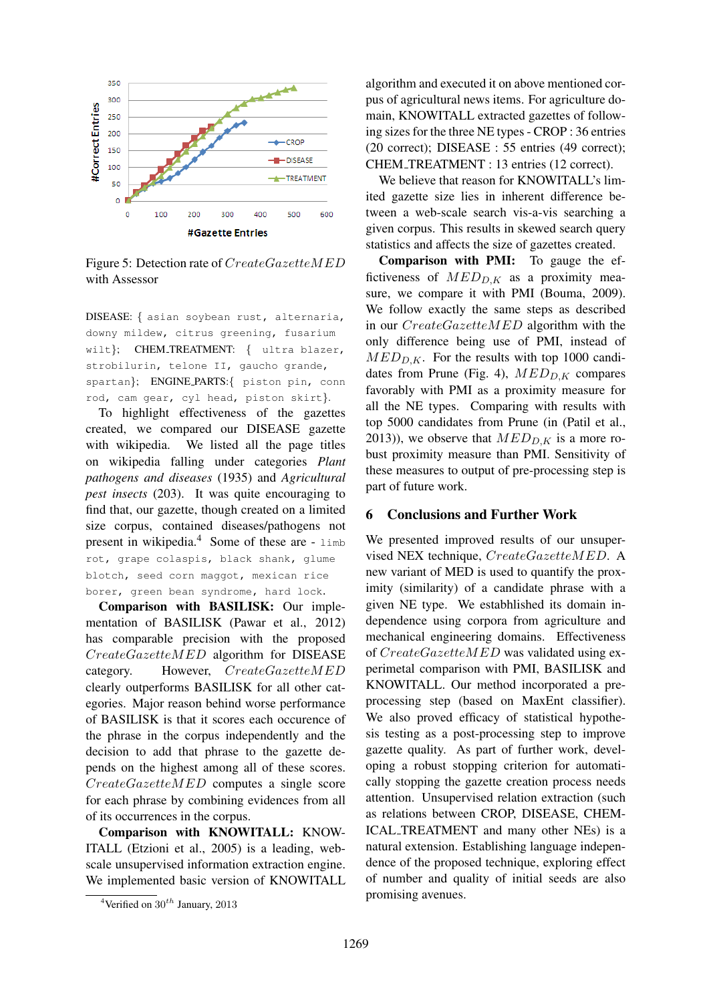

Figure 5: Detection rate of CreateGazetteMED with Assessor

DISEASE: { asian soybean rust, alternaria, downy mildew, citrus greening, fusarium wilt}; CHEM\_TREATMENT: { ultra blazer, strobilurin, telone II, gaucho grande, spartan}; ENGINE PARTS:{ piston pin, conn rod, cam gear, cyl head, piston skirt}.

To highlight effectiveness of the gazettes created, we compared our DISEASE gazette with wikipedia. We listed all the page titles on wikipedia falling under categories *Plant pathogens and diseases* (1935) and *Agricultural pest insects* (203). It was quite encouraging to find that, our gazette, though created on a limited size corpus, contained diseases/pathogens not present in wikipedia.<sup>4</sup> Some of these are - limb rot, grape colaspis, black shank, glume blotch, seed corn maggot, mexican rice borer, green bean syndrome, hard lock.

Comparison with BASILISK: Our implementation of BASILISK (Pawar et al., 2012) has comparable precision with the proposed CreateGazetteMED algorithm for DISEASE category. However, CreateGazetteMED clearly outperforms BASILISK for all other categories. Major reason behind worse performance of BASILISK is that it scores each occurence of the phrase in the corpus independently and the decision to add that phrase to the gazette depends on the highest among all of these scores. CreateGazetteMED computes a single score for each phrase by combining evidences from all of its occurrences in the corpus.

Comparison with KNOWITALL: KNOW-ITALL (Etzioni et al., 2005) is a leading, webscale unsupervised information extraction engine. We implemented basic version of KNOWITALL

algorithm and executed it on above mentioned corpus of agricultural news items. For agriculture domain, KNOWITALL extracted gazettes of following sizes for the three NE types - CROP : 36 entries (20 correct); DISEASE : 55 entries (49 correct); CHEM TREATMENT : 13 entries (12 correct).

We believe that reason for KNOWITALL's limited gazette size lies in inherent difference between a web-scale search vis-a-vis searching a given corpus. This results in skewed search query statistics and affects the size of gazettes created.

Comparison with PMI: To gauge the effictiveness of  $MED_{D,K}$  as a proximity measure, we compare it with PMI (Bouma, 2009). We follow exactly the same steps as described in our CreateGazetteMED algorithm with the only difference being use of PMI, instead of  $MED_{D,K}$ . For the results with top 1000 candidates from Prune (Fig. 4),  $MED_{D,K}$  compares favorably with PMI as a proximity measure for all the NE types. Comparing with results with top 5000 candidates from Prune (in (Patil et al., 2013)), we observe that  $MED_{D,K}$  is a more robust proximity measure than PMI. Sensitivity of these measures to output of pre-processing step is part of future work.

### 6 Conclusions and Further Work

We presented improved results of our unsupervised NEX technique, CreateGazetteMED. A new variant of MED is used to quantify the proximity (similarity) of a candidate phrase with a given NE type. We estabhlished its domain independence using corpora from agriculture and mechanical engineering domains. Effectiveness of CreateGazetteMED was validated using experimetal comparison with PMI, BASILISK and KNOWITALL. Our method incorporated a preprocessing step (based on MaxEnt classifier). We also proved efficacy of statistical hypothesis testing as a post-processing step to improve gazette quality. As part of further work, developing a robust stopping criterion for automatically stopping the gazette creation process needs attention. Unsupervised relation extraction (such as relations between CROP, DISEASE, CHEM-ICAL TREATMENT and many other NEs) is a natural extension. Establishing language independence of the proposed technique, exploring effect of number and quality of initial seeds are also promising avenues.

<sup>&</sup>lt;sup>4</sup>Verified on  $30^{th}$  January, 2013